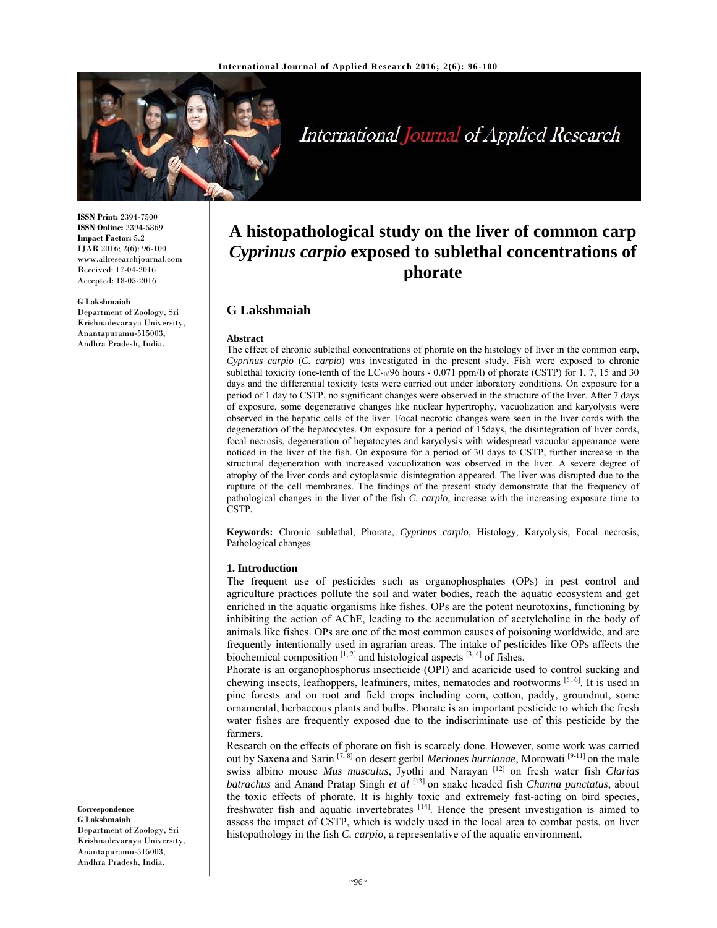

International Journal of Applied Research

**ISSN Print:** 2394-7500 **ISSN Online:** 2394-5869 **Impact Factor:** 5.2 IJAR 2016; 2(6): 96-100 www.allresearchjournal.com Received: 17-04-2016 Accepted: 18-05-2016

#### **G Lakshmaiah**

Department of Zoology, Sri Krishnadevaraya University, Anantapuramu-515003, Andhra Pradesh, India.

# **A histopathological study on the liver of common carp**  *Cyprinus carpio* **exposed to sublethal concentrations of phorate**

## **G Lakshmaiah**

#### **Abstract**

The effect of chronic sublethal concentrations of phorate on the histology of liver in the common carp, *Cyprinus carpio* (*C. carpio*) was investigated in the present study. Fish were exposed to chronic sublethal toxicity (one-tenth of the LC<sub>50</sub>/96 hours - 0.071 ppm/l) of phorate (CSTP) for 1, 7, 15 and 30 days and the differential toxicity tests were carried out under laboratory conditions. On exposure for a period of 1 day to CSTP, no significant changes were observed in the structure of the liver. After 7 days of exposure, some degenerative changes like nuclear hypertrophy, vacuolization and karyolysis were observed in the hepatic cells of the liver. Focal necrotic changes were seen in the liver cords with the degeneration of the hepatocytes. On exposure for a period of 15days, the disintegration of liver cords, focal necrosis, degeneration of hepatocytes and karyolysis with widespread vacuolar appearance were noticed in the liver of the fish. On exposure for a period of 30 days to CSTP, further increase in the structural degeneration with increased vacuolization was observed in the liver. A severe degree of atrophy of the liver cords and cytoplasmic disintegration appeared. The liver was disrupted due to the rupture of the cell membranes. The findings of the present study demonstrate that the frequency of pathological changes in the liver of the fish *C. carpio*, increase with the increasing exposure time to CSTP*.*

**Keywords:** Chronic sublethal, Phorate, *Cyprinus carpio*, Histology, Karyolysis, Focal necrosis, Pathological changes

#### **1. Introduction**

The frequent use of pesticides such as organophosphates (OPs) in pest control and agriculture practices pollute the soil and water bodies, reach the aquatic ecosystem and get enriched in the aquatic organisms like fishes. OPs are the potent neurotoxins, functioning by inhibiting the action of AChE, leading to the accumulation of acetylcholine in the body of animals like fishes. OPs are one of the most common causes of poisoning worldwide, and are frequently intentionally used in agrarian areas. The intake of pesticides like OPs affects the biochemical composition  $[1, 2]$  and histological aspects  $[3, 4]$  of fishes.

Phorate is an organophosphorus insecticide (OPI) and acaricide used to control sucking and chewing insects, leafhoppers, leafminers, mites, nematodes and rootworms [5, 6]. It is used in pine forests and on root and field crops including corn, cotton, paddy, groundnut, some ornamental, herbaceous plants and bulbs. Phorate is an important pesticide to which the fresh water fishes are frequently exposed due to the indiscriminate use of this pesticide by the farmers.

Research on the effects of phorate on fish is scarcely done. However, some work was carried out by Saxena and Sarin <sup>[7, 8]</sup> on desert gerbil *Meriones hurrianae*, Morowati <sup>[9-11]</sup> on the male swiss albino mouse *Mus musculus*, Jyothi and Narayan [12] on fresh water fish *Clarias batrachus* and Anand Pratap Singh *et al* [13] on snake headed fish *Channa punctatus*, about the toxic effects of phorate. It is highly toxic and extremely fast-acting on bird species, freshwater fish and aquatic invertebrates [14]. Hence the present investigation is aimed to assess the impact of CSTP, which is widely used in the local area to combat pests, on liver histopathology in the fish *C. carpio*, a representative of the aquatic environment.

#### **Correspondence**

**G Lakshmaiah** Department of Zoology, Sri Krishnadevaraya University, Anantapuramu-515003, Andhra Pradesh, India.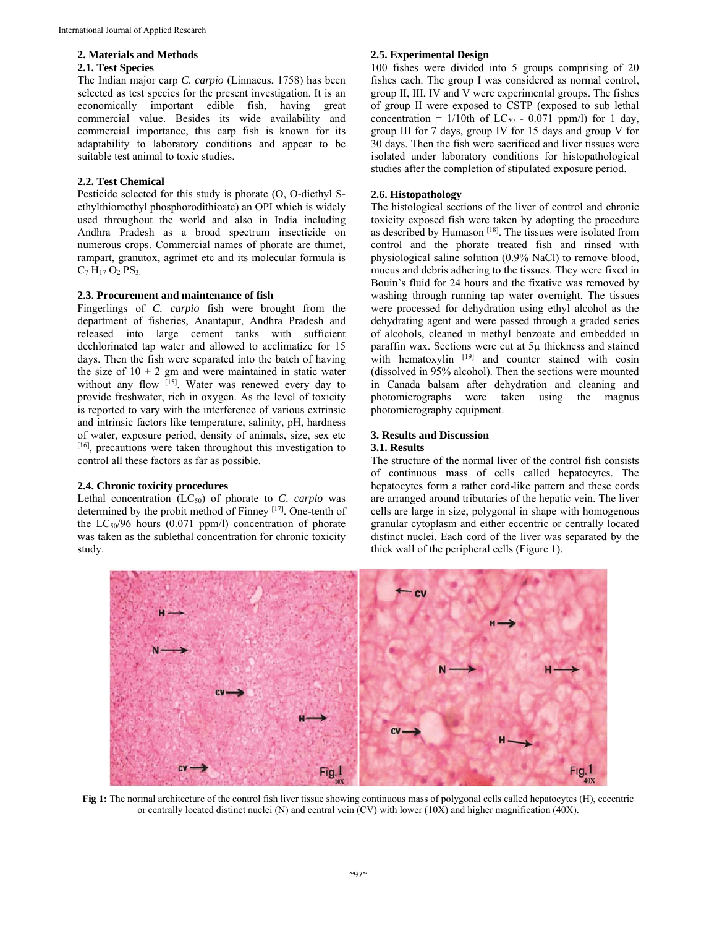#### **2. Materials and Methods**

#### **2.1. Test Species**

The Indian major carp *C. carpio* (Linnaeus, 1758) has been selected as test species for the present investigation. It is an economically important edible fish, having great commercial value. Besides its wide availability and commercial importance, this carp fish is known for its adaptability to laboratory conditions and appear to be suitable test animal to toxic studies.

## **2.2. Test Chemical**

Pesticide selected for this study is phorate (O, O-diethyl Sethylthiomethyl phosphorodithioate) an OPI which is widely used throughout the world and also in India including Andhra Pradesh as a broad spectrum insecticide on numerous crops. Commercial names of phorate are thimet, rampart, granutox, agrimet etc and its molecular formula is  $C_7 H_{17} O_2 P S_3$ .

### **2.3. Procurement and maintenance of fish**

Fingerlings of *C. carpio* fish were brought from the department of fisheries, Anantapur, Andhra Pradesh and released into large cement tanks with sufficient dechlorinated tap water and allowed to acclimatize for 15 days. Then the fish were separated into the batch of having the size of  $10 \pm 2$  gm and were maintained in static water without any flow [15]. Water was renewed every day to provide freshwater, rich in oxygen. As the level of toxicity is reported to vary with the interference of various extrinsic and intrinsic factors like temperature, salinity, pH, hardness of water, exposure period, density of animals, size, sex etc [16], precautions were taken throughout this investigation to control all these factors as far as possible.

## **2.4. Chronic toxicity procedures**

Lethal concentration (LC<sub>50</sub>) of phorate to *C. carpio* was determined by the probit method of Finney [17]. One-tenth of the  $LC_{50}/96$  hours (0.071 ppm/l) concentration of phorate was taken as the sublethal concentration for chronic toxicity study.

## **2.5. Experimental Design**

100 fishes were divided into 5 groups comprising of 20 fishes each. The group I was considered as normal control, group II, III, IV and V were experimental groups. The fishes of group II were exposed to CSTP (exposed to sub lethal concentration =  $1/10$ th of LC<sub>50</sub> - 0.071 ppm/l) for 1 day, group III for 7 days, group IV for 15 days and group V for 30 days. Then the fish were sacrificed and liver tissues were isolated under laboratory conditions for histopathological studies after the completion of stipulated exposure period.

#### **2.6. Histopathology**

The histological sections of the liver of control and chronic toxicity exposed fish were taken by adopting the procedure as described by Humason<sup>[18]</sup>. The tissues were isolated from control and the phorate treated fish and rinsed with physiological saline solution (0.9% NaCl) to remove blood, mucus and debris adhering to the tissues. They were fixed in Bouin's fluid for 24 hours and the fixative was removed by washing through running tap water overnight. The tissues were processed for dehydration using ethyl alcohol as the dehydrating agent and were passed through a graded series of alcohols, cleaned in methyl benzoate and embedded in paraffin wax. Sections were cut at 5µ thickness and stained with hematoxylin  $[19]$  and counter stained with eosin (dissolved in 95% alcohol). Then the sections were mounted in Canada balsam after dehydration and cleaning and photomicrographs were taken using the magnus photomicrography equipment.

# **3. Results and Discussion**

## **3.1. Results**

The structure of the normal liver of the control fish consists of continuous mass of cells called hepatocytes. The hepatocytes form a rather cord-like pattern and these cords are arranged around tributaries of the hepatic vein. The liver cells are large in size, polygonal in shape with homogenous granular cytoplasm and either eccentric or centrally located distinct nuclei. Each cord of the liver was separated by the thick wall of the peripheral cells (Figure 1).



**Fig 1:** The normal architecture of the control fish liver tissue showing continuous mass of polygonal cells called hepatocytes (H), eccentric or centrally located distinct nuclei (N) and central vein (CV) with lower (10X) and higher magnification (40X).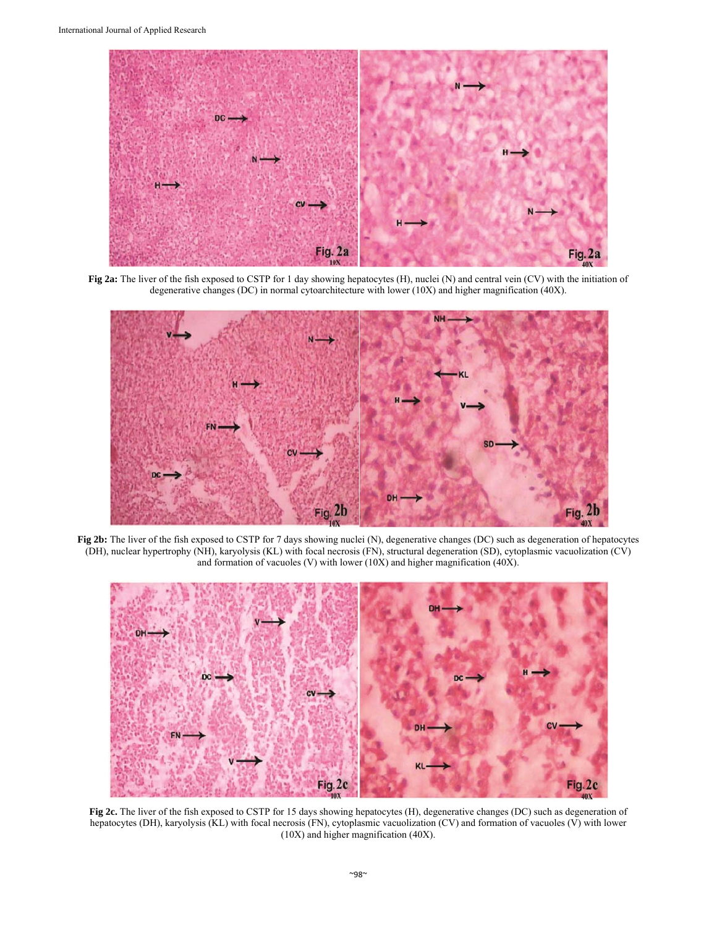

**Fig 2a:** The liver of the fish exposed to CSTP for 1 day showing hepatocytes (H), nuclei (N) and central vein (CV) with the initiation of degenerative changes (DC) in normal cytoarchitecture with lower (10X) and higher magnification (40X).



**Fig 2b:** The liver of the fish exposed to CSTP for 7 days showing nuclei (N), degenerative changes (DC) such as degeneration of hepatocytes (DH), nuclear hypertrophy (NH), karyolysis (KL) with focal necrosis (FN), structural degeneration (SD), cytoplasmic vacuolization (CV) and formation of vacuoles (V) with lower (10X) and higher magnification (40X).



**Fig 2c.** The liver of the fish exposed to CSTP for 15 days showing hepatocytes (H), degenerative changes (DC) such as degeneration of hepatocytes (DH), karyolysis (KL) with focal necrosis (FN), cytoplasmic vacuolization (CV) and formation of vacuoles (V) with lower (10X) and higher magnification (40X).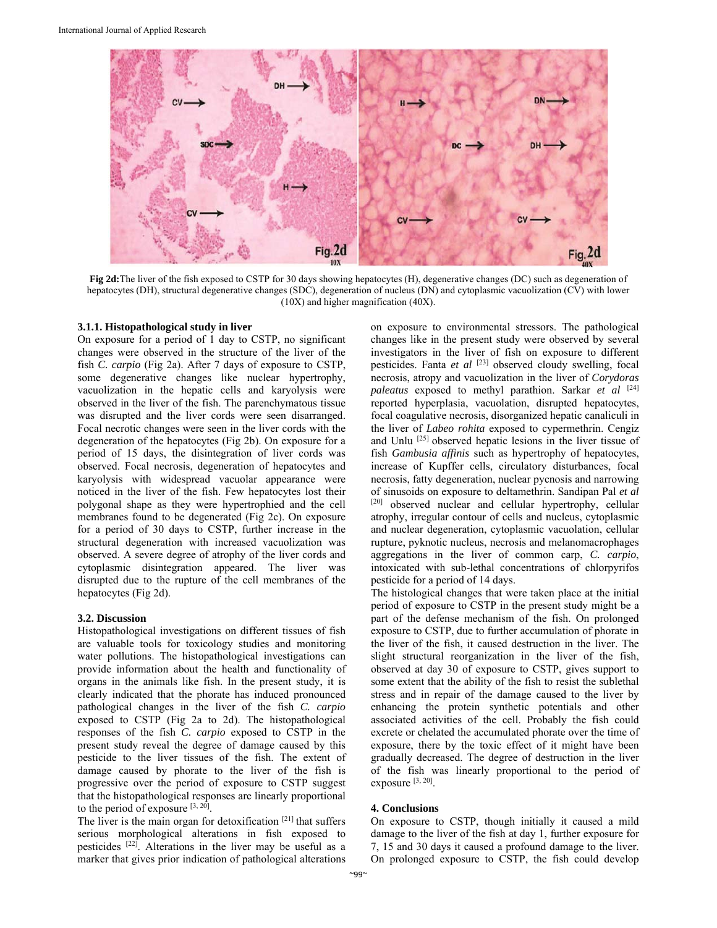

**Fig 2d:**The liver of the fish exposed to CSTP for 30 days showing hepatocytes (H), degenerative changes (DC) such as degeneration of hepatocytes (DH), structural degenerative changes (SDC), degeneration of nucleus (DN) and cytoplasmic vacuolization (CV) with lower (10X) and higher magnification (40X).

#### **3.1.1. Histopathological study in liver**

On exposure for a period of 1 day to CSTP, no significant changes were observed in the structure of the liver of the fish *C. carpio* (Fig 2a). After 7 days of exposure to CSTP, some degenerative changes like nuclear hypertrophy, vacuolization in the hepatic cells and karyolysis were observed in the liver of the fish. The parenchymatous tissue was disrupted and the liver cords were seen disarranged. Focal necrotic changes were seen in the liver cords with the degeneration of the hepatocytes (Fig 2b). On exposure for a period of 15 days, the disintegration of liver cords was observed. Focal necrosis, degeneration of hepatocytes and karyolysis with widespread vacuolar appearance were noticed in the liver of the fish. Few hepatocytes lost their polygonal shape as they were hypertrophied and the cell membranes found to be degenerated (Fig 2c). On exposure for a period of 30 days to CSTP, further increase in the structural degeneration with increased vacuolization was observed. A severe degree of atrophy of the liver cords and cytoplasmic disintegration appeared. The liver was disrupted due to the rupture of the cell membranes of the hepatocytes (Fig 2d).

## **3.2. Discussion**

Histopathological investigations on different tissues of fish are valuable tools for toxicology studies and monitoring water pollutions. The histopathological investigations can provide information about the health and functionality of organs in the animals like fish. In the present study, it is clearly indicated that the phorate has induced pronounced pathological changes in the liver of the fish *C. carpio* exposed to CSTP (Fig 2a to 2d). The histopathological responses of the fish *C. carpio* exposed to CSTP in the present study reveal the degree of damage caused by this pesticide to the liver tissues of the fish. The extent of damage caused by phorate to the liver of the fish is progressive over the period of exposure to CSTP suggest that the histopathological responses are linearly proportional to the period of exposure  $[3, 20]$ .

The liver is the main organ for detoxification [21] that suffers serious morphological alterations in fish exposed to pesticides [22]. Alterations in the liver may be useful as a marker that gives prior indication of pathological alterations

on exposure to environmental stressors. The pathological changes like in the present study were observed by several investigators in the liver of fish on exposure to different pesticides. Fanta *et al* [23] observed cloudy swelling, focal necrosis, atropy and vacuolization in the liver of *Corydoras paleatus* exposed to methyl parathion. Sarkar *et al* [24] reported hyperplasia, vacuolation, disrupted hepatocytes, focal coagulative necrosis, disorganized hepatic canaliculi in the liver of *Labeo rohita* exposed to cypermethrin. Cengiz and Unlu [25] observed hepatic lesions in the liver tissue of fish *Gambusia affinis* such as hypertrophy of hepatocytes, increase of Kupffer cells, circulatory disturbances, focal necrosis, fatty degeneration, nuclear pycnosis and narrowing of sinusoids on exposure to deltamethrin. Sandipan Pal *et al*  [20] observed nuclear and cellular hypertrophy, cellular atrophy, irregular contour of cells and nucleus, cytoplasmic and nuclear degeneration, cytoplasmic vacuolation, cellular rupture, pyknotic nucleus, necrosis and melanomacrophages aggregations in the liver of common carp, *C. carpio*, intoxicated with sub-lethal concentrations of chlorpyrifos pesticide for a period of 14 days.

The histological changes that were taken place at the initial period of exposure to CSTP in the present study might be a part of the defense mechanism of the fish. On prolonged exposure to CSTP, due to further accumulation of phorate in the liver of the fish, it caused destruction in the liver. The slight structural reorganization in the liver of the fish, observed at day 30 of exposure to CSTP, gives support to some extent that the ability of the fish to resist the sublethal stress and in repair of the damage caused to the liver by enhancing the protein synthetic potentials and other associated activities of the cell. Probably the fish could excrete or chelated the accumulated phorate over the time of exposure, there by the toxic effect of it might have been gradually decreased. The degree of destruction in the liver of the fish was linearly proportional to the period of exposure [3, 20].

#### **4. Conclusions**

On exposure to CSTP, though initially it caused a mild damage to the liver of the fish at day 1, further exposure for 7, 15 and 30 days it caused a profound damage to the liver. On prolonged exposure to CSTP, the fish could develop